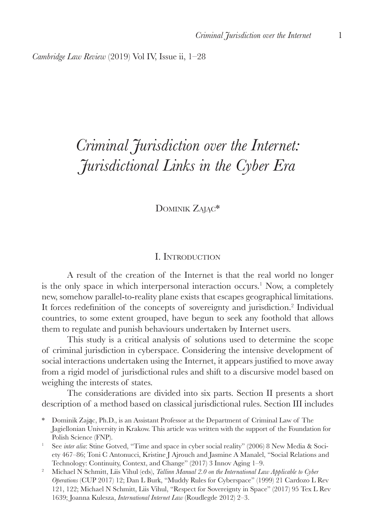*Cambridge Law Review* (2019) Vol IV, Issue ii, 1–28

# *Criminal Jurisdiction over the Internet: Jurisdictional Links in the Cyber Era*

Dominik Zając\*

#### I. Introduction

A result of the creation of the Internet is that the real world no longer is the only space in which interpersonal interaction occurs.<sup>1</sup> Now, a completely new, somehow parallel-to-reality plane exists that escapes geographical limitations. It forces redefinition of the concepts of sovereignty and jurisdiction.<sup>2</sup> Individual countries, to some extent grouped, have begun to seek any foothold that allows them to regulate and punish behaviours undertaken by Internet users.

This study is a critical analysis of solutions used to determine the scope of criminal jurisdiction in cyberspace. Considering the intensive development of social interactions undertaken using the Internet, it appears justified to move away from a rigid model of jurisdictional rules and shift to a discursive model based on weighing the interests of states.

The considerations are divided into six parts. Section II presents a short description of a method based on classical jurisdictional rules. Section III includes

\* Dominik Zając, Ph.D., is an Assistant Professor at the Department of Criminal Law of The Jagiellonian University in Krakow. This article was written with the support of the Foundation for Polish Science (FNP).

<sup>1</sup> See *inter alia*: Stine Gotved, "Time and space in cyber social reality" (2006) 8 New Media & Society 467–86; Toni C Antonucci, Kristine J Ajrouch and Jasmine A Manalel, "Social Relations and Technology: Continuity, Context, and Change" (2017) 3 Innov Aging 1–9.

<sup>&</sup>lt;sup>2</sup> Michael N Schmitt, Liis Vihul (eds), *Tallinn Manual 2.0 on the International Law Applicable to Cyber Operations* (CUP 2017) 12; Dan L Burk, "Muddy Rules for Cyberspace" (1999) 21 Cardozo L Rev 121, 122; Michael N Schmitt, Liis Vihul, "Respect for Sovereignty in Space" (2017) 95 Tex L Rev 1639; Joanna Kulesza, *International Internet Law* (Roudlegde 2012) 2–3.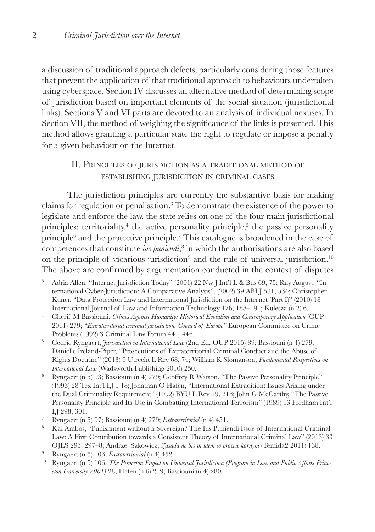a discussion of traditional approach defects, particularly considering those features that prevent the application of that traditional approach to behaviours undertaken using cyberspace. Section IV discusses an alternative method of determining scope of jurisdiction based on important elements of the social situation (jurisdictional links). Sections V and VI parts are devoted to an analysis of individual nexuses. In Section VII, the method of weighing the significance of the links is presented. This method allows granting a particular state the right to regulate or impose a penalty for a given behaviour on the Internet.

## II. Principles of jurisdiction as <sup>a</sup> traditional method of establishing jurisdiction in criminal cases

The jurisdiction principles are currently the substantive basis for making claims for regulation or penalisation.3 To demonstrate the existence of the power to legislate and enforce the law, the state relies on one of the four main jurisdictional principles: territoriality,<sup>4</sup> the active personality principle,<sup>5</sup> the passive personality principle<sup>6</sup> and the protective principle.<sup>7</sup> This catalogue is broadened in the case of competences that constitute *ius puniendi*, 8 in which the authorisations are also based on the principle of vicarious jurisdiction<sup>9</sup> and the rule of universal jurisdiction.<sup>10</sup> The above are confirmed by argumentation conducted in the context of disputes

- <sup>3</sup> Adria Allen, "Internet Jurisdiction Today" (2001) 22 Nw J Int'l L & Bus 69, 75; Ray August, "International Cyber-Jurisdiction: A Comparative Analysis", (2002) 39 ABLJ 531, 534; Christopher Kuner, "Data Protection Law and International Jurisdiction on the Internet (Part I)" (2010) 18 International Journal of Law and Information Technology 176, 188–191; Kulesza (n 2) 6.
- <sup>4</sup> Cherif M Bassiouni, *Crimes Against Humanity: Historical Evolution and Contemporary Application* (CUP 2011) 279; *"Extraterritorial criminal jurisdiction. Council of Europe"* European Committee on Crime Problems (1992) 3 Criminal Law Forum 441*,* 446.
- <sup>5</sup> Cedric Ryngaert, *Jurisdiction in International Law* (2nd Ed, OUP 2015) 89; Bassiouni (n 4) 279; Danielle Ireland-Piper, "Prosecutions of Extraterritorial Criminal Conduct and the Abuse of Rights Doctrine" (2013) 9 Utrecht L Rev 68, 74; William R Slomanson, *Fundamental Perspectives on International Law* (Wadsworth Publishing 2010) 250.
- <sup>6</sup> Ryngaert (n 5) 93; Bassiouni (n 4) 279; Geoffrey R Watson, "The Passive Personality Principle" (1993) 28 Tex Int'l LJ 1 18; Jonathan O Hafen, "International Extradition: Issues Arising under the Dual Criminality Requirement" (1992) BYU L Rev 19, 218; John G McCarthy, "The Passive Personality Principle and Its Use in Combatting International Terrorism" (1989) 13 Fordham Int'l LJ 298, 301.
- <sup>7</sup> Ryngaert (n 5) 97; Bassiouni (n 4) 279; *Extraterritorial* (n 4) 451.
- <sup>8</sup> Kai Ambos, "Punishment without a Sovereign? The Ius Puniendi Issue of International Criminal Law: A First Contribution towards a Consistent Theory of International Criminal Law" (2013) 33 OJLS 293, 297–8; Andrzej Sakowicz, *Zasada ne bis in idem w prawie karnym* (Temida2 2011) 138.
- <sup>9</sup> Ryngaert (n 5) 103; *Extraterritorial* (n 4) 452.
- <sup>10</sup> Ryngaert (n 5) 106; *The Princeton Project on Universal Jurisdiction (Program in Law and Public Affairs Princeton University 2001)* 28; Hafen (n 6) 219; Bassiouni (n 4) 280.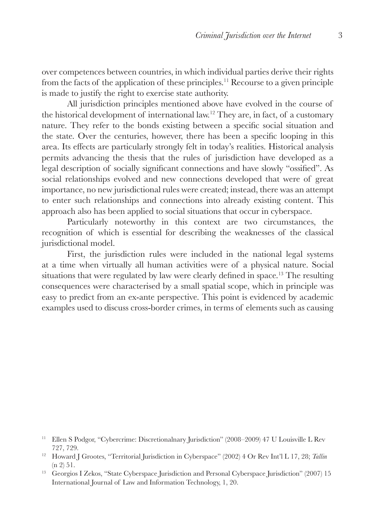over competences between countries, in which individual parties derive their rights from the facts of the application of these principles.11 Recourse to a given principle is made to justify the right to exercise state authority.

All jurisdiction principles mentioned above have evolved in the course of the historical development of international law.12 They are, in fact, of a customary nature. They refer to the bonds existing between a specific social situation and the state. Over the centuries, however, there has been a specific looping in this area. Its effects are particularly strongly felt in today's realities. Historical analysis permits advancing the thesis that the rules of jurisdiction have developed as a legal description of socially significant connections and have slowly "ossified". As social relationships evolved and new connections developed that were of great importance, no new jurisdictional rules were created; instead, there was an attempt to enter such relationships and connections into already existing content. This approach also has been applied to social situations that occur in cyberspace.

Particularly noteworthy in this context are two circumstances, the recognition of which is essential for describing the weaknesses of the classical jurisdictional model.

First, the jurisdiction rules were included in the national legal systems at a time when virtually all human activities were of a physical nature. Social situations that were regulated by law were clearly defined in space.13 The resulting consequences were characterised by a small spatial scope, which in principle was easy to predict from an ex-ante perspective. This point is evidenced by academic examples used to discuss cross-border crimes, in terms of elements such as causing

<sup>11</sup> Ellen S Podgor, "Cybercrime: Discretionalnary Jurisdiction" (2008–2009) 47 U Louisville L Rev 727, 729.

<sup>&</sup>lt;sup>12</sup> Howard J Grootes, "Territorial Jurisdiction in Cyberspace" (2002) 4 Or Rev Int'l L 17, 28; *Tallin* (n 2) 51.

<sup>&</sup>lt;sup>13</sup> Georgios I Zekos, "State Cyberspace Jurisdiction and Personal Cyberspace Jurisdiction" (2007) 15 International Journal of Law and Information Technology, 1, 20.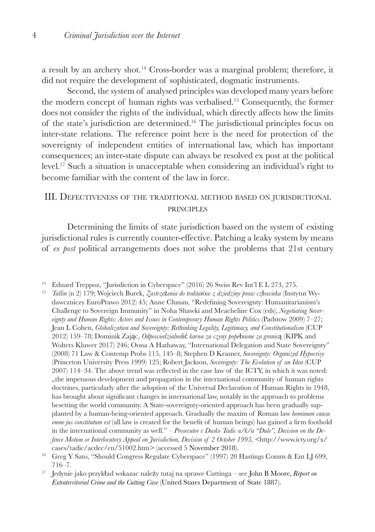a result by an archery shot.14 Cross-border was a marginal problem; therefore, it did not require the development of sophisticated, dogmatic instruments.

Second, the system of analysed principles was developed many years before the modern concept of human rights was verbalised.15 Consequently, the former does not consider the rights of the individual, which directly affects how the limits of the state's jurisdiction are determined.16 The jurisdictional principles focus on inter-state relations. The reference point here is the need for protection of the sovereignty of independent entities of international law, which has important consequences; an inter-state dispute can always be resolved ex post at the political level.17 Such a situation is unacceptable when considering an individual's right to become familiar with the content of the law in force.

## III. Defectiveness of the traditional method based on jurisdictional **PRINCIPLES**

Determining the limits of state jurisdiction based on the system of existing jurisdictional rules is currently counter-effective. Patching a leaky system by means of *ex post* political arrangements does not solve the problems that 21st century

<sup>14</sup> Eduard Treppoz, "Jurisdiction in Cyberspace" (2016) 26 Swiss Rev Int'l E L 273, 275.

<sup>15</sup> *Tallin* (n 2) 179; Wojciech Burek, *Zastrze*ż*enia do traktat*ó*w z dziedziny praw cz*ł*owieka* (Instytut Wydawczniczy EuroPrawo 2012) 45; Anne Clunan, "Redefining Sovereignty: Humanitarianism's Challenge to Sovereign Immunity" in Noha Shawki and Meacheline Cox (eds), *Negotiating Sovereignty and Human Rights: Actors and Issues in Contemporary Human Rights Politics* (Padstow 2009) 7–27; Jean L Cohen, *Globalization and Sovereignty: Rethinking Legality, Legitimacy, and Constitutionalism* (CUP 2012) 159–78; Dominik Zając, *Odpowiedzialno*ść *karna za czyny pope*ł*nione za granic*ą (KIPK and Wolters Kluwer 2017) 246; Oona A Hathaway, "International Delegation and State Sovereignty" (2008) 71 Law & Contemp Probs 115, 145–8; Stephen D Krasner, *Sovereignty: Organized Hypocrisy* (Princeton University Press 1999) 125; Robert Jackson, *Sovereignty: The Evolution of an Idea* (CUP 2007) 114–34. The above trend was reflected in the case law of the ICTY, in which it was noted: "the impetuous development and propagation in the international community of human rights doctrines, particularly after the adoption of the Universal Declaration of Human Rights in 1948, has brought about significant changes in international law, notably in the approach to problems besetting the world community. A State-sovereignty-oriented approach has been gradually supplanted by a human-being-oriented approach. Gradually the maxim of Roman law *hominum causa omne jus constitutum est* (all law is created for the benefit of human beings) has gained a firm foothold in the international community as well." – *Prosecutor v Dusko Tadic a/k/a "Dule", Decision on the Defence Motion or Interlocutory Appeal on Jurisdiction, Decision of 2 October 1995, <*http://www.icty.org/x/ cases/tadic/acdec/en/51002.htm*>* (accessed 5 November 2018).

<sup>&</sup>lt;sup>16</sup> Greg Y Sato, "Should Congress Regulate Cyberspace" (1997) 20 Hastings Comm & Ent LJ 699, 716–7.

<sup>&</sup>lt;sup>17</sup> Jedynie jako przykład wskazac należy tutaj na sprawe Cuttinga – see John B Moore, *Report on Extraterritorial Crime and the Cutting Case* (United States Department of State 1887).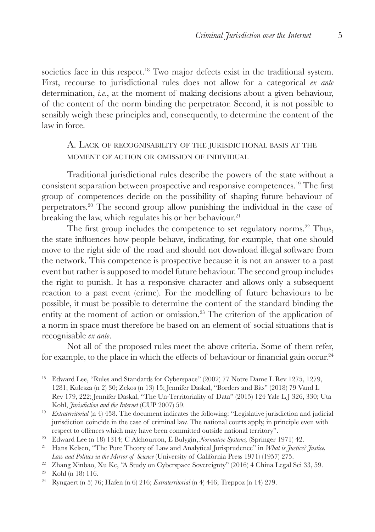societies face in this respect.<sup>18</sup> Two major defects exist in the traditional system. First, recourse to jurisdictional rules does not allow for a categorical *ex ante* determination, *i.e.*, at the moment of making decisions about a given behaviour, of the content of the norm binding the perpetrator. Second, it is not possible to sensibly weigh these principles and, consequently, to determine the content of the law in force.

A. Lack of recognisability of the jurisdictional basis at the moment of action or omission of individual

Traditional jurisdictional rules describe the powers of the state without a consistent separation between prospective and responsive competences.19 The first group of competences decide on the possibility of shaping future behaviour of perpetrators.20 The second group allow punishing the individual in the case of breaking the law, which regulates his or her behaviour.<sup>21</sup>

The first group includes the competence to set regulatory norms.<sup>22</sup> Thus, the state influences how people behave, indicating, for example, that one should move to the right side of the road and should not download illegal software from the network. This competence is prospective because it is not an answer to a past event but rather is supposed to model future behaviour. The second group includes the right to punish. It has a responsive character and allows only a subsequent reaction to a past event (crime). For the modelling of future behaviours to be possible, it must be possible to determine the content of the standard binding the entity at the moment of action or omission.23 The criterion of the application of a norm in space must therefore be based on an element of social situations that is recognisable *ex ante*.

Not all of the proposed rules meet the above criteria. Some of them refer, for example, to the place in which the effects of behaviour or financial gain occur.<sup>24</sup>

- <sup>18</sup> Edward Lee, "Rules and Standards for Cyberspace" (2002) 77 Notre Dame L Rev 1275, 1279, 1281; Kulesza (n 2) 30; Zekos (n 13) 15; Jennifer Daskal, "Borders and Bits" (2018) 79 Vand L Rev 179, 222; Jennifer Daskal, "The Un-Territoriality of Data" (2015) 124 Yale L J 326, 330; Uta Kohl, *Jurisdiction and the Internet* (CUP 2007) 59.
- <sup>19</sup> *Extraterritorial* (n 4) 458. The document indicates the following: "Legislative jurisdiction and judicial jurisdiction coincide in the case of criminal law. The national courts apply, in principle even with respect to offences which may have been committed outside national territory".
- <sup>20</sup> Edward Lee (n 18) 1314; C Alchourron, E Bulygin, *Normative Systems,* (Springer 1971) 42.
- <sup>21</sup> Hans Kelsen, "The Pure Theory of Law and Analytical Jurisprudence" in *What is Justice? Justice, Law and Politics in the Mirror of Science* (University of California Press 1971) (1957) 275.
- <sup>22</sup> Zhang Xinbao, Xu Ke, "A Study on Cyberspace Sovereignty" (2016) 4 China Legal Sci 33, 59.

<sup>24</sup> Ryngaert (n 5) 76; Hafen (n 6) 216; *Extraterritorial* (n 4) 446; Treppoz (n 14) 279.

<sup>23</sup> Kohl (n 18) 116.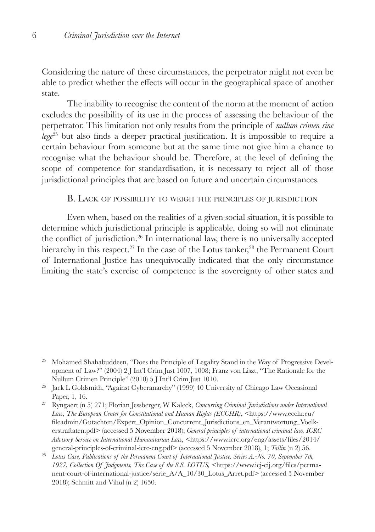Considering the nature of these circumstances, the perpetrator might not even be able to predict whether the effects will occur in the geographical space of another state.

The inability to recognise the content of the norm at the moment of action excludes the possibility of its use in the process of assessing the behaviour of the perpetrator. This limitation not only results from the principle of *nullum crimen sine lege*<sup>25</sup> but also finds a deeper practical justification. It is impossible to require a certain behaviour from someone but at the same time not give him a chance to recognise what the behaviour should be. Therefore, at the level of defining the scope of competence for standardisation, it is necessary to reject all of those jurisdictional principles that are based on future and uncertain circumstances.

#### B. Lack of possibility to weigh the principles of jurisdiction

Even when, based on the realities of a given social situation, it is possible to determine which jurisdictional principle is applicable, doing so will not eliminate the conflict of jurisdiction.26 In international law, there is no universally accepted hierarchy in this respect.<sup>27</sup> In the case of the Lotus tanker,<sup>28</sup> the Permanent Court of International Justice has unequivocally indicated that the only circumstance limiting the state's exercise of competence is the sovereignty of other states and

<sup>&</sup>lt;sup>25</sup> Mohamed Shahabuddeen, "Does the Principle of Legality Stand in the Way of Progressive Development of Law?" (2004) 2 J Int'l Crim Just 1007, 1008; Franz von Liszt, "The Rationale for the Nullum Crimen Principle" (2010) 5 J Int'l Crim Just 1010.

<sup>26</sup> Jack L Goldsmith, "Against Cyberanarchy" (1999) 40 University of Chicago Law Occasional Paper, 1, 16.

<sup>27</sup> Ryngaert (n 5) 271; Florian Jessberger, W Kaleck, *Concurring Criminal Jurisdictions under International*  Law, The European Center for Constitutional and Human Rights (ECCHR), <https://www.ecchr.eu/ fileadmin/Gutachten/Expert\_Opinion\_Concurrent\_Jurisdictions\_en\_Verantwortung\_Voelkerstraftaten.pdf> (accessed 5 November 2018); *General principles of international criminal law, ICRC Advisory Service on International Humanitarian Law,* <https://www.icrc.org/eng/assets/files/2014/ general-principles-of-criminal-icrc-eng.pdf> (accessed 5 November 2018), 1; *Tallin* (n 2) 56.

<sup>&</sup>lt;sup>28</sup> Lotus Case, Publications of the Permanent Court of International Justice. Series A.-No. 70, September 7th, *1927, Collection Of Judgments, The Case of the S.S. LOTUS, <*https://www.icj-cij.org/files/permanent-court-of-international-justice/serie\_A/A\_10/30\_Lotus\_Arret.pdf*>* (accessed 5 November 2018); Schmitt and Vihul (n 2) 1650.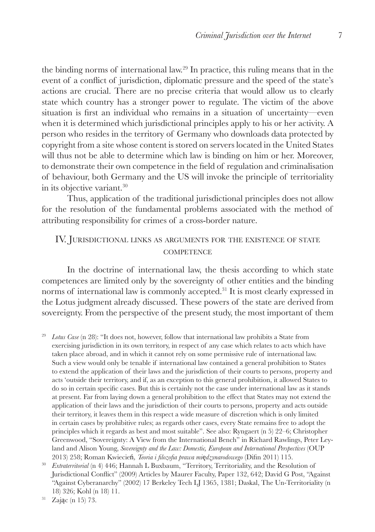the binding norms of international law.29 In practice, this ruling means that in the event of a conflict of jurisdiction, diplomatic pressure and the speed of the state's actions are crucial. There are no precise criteria that would allow us to clearly state which country has a stronger power to regulate. The victim of the above situation is first an individual who remains in a situation of uncertainty—even when it is determined which jurisdictional principles apply to his or her activity. A person who resides in the territory of Germany who downloads data protected by copyright from a site whose content is stored on servers located in the United States will thus not be able to determine which law is binding on him or her. Moreover, to demonstrate their own competence in the field of regulation and criminalisation of behaviour, both Germany and the US will invoke the principle of territoriality in its objective variant.30

Thus, application of the traditional jurisdictional principles does not allow for the resolution of the fundamental problems associated with the method of attributing responsibility for crimes of a cross-border nature.

## IV. Jurisdictional links as arguments for the existence of state **COMPETENCE**

In the doctrine of international law, the thesis according to which state competences are limited only by the sovereignty of other entities and the binding norms of international law is commonly accepted.<sup>31</sup> It is most clearly expressed in the Lotus judgment already discussed. These powers of the state are derived from sovereignty. From the perspective of the present study, the most important of them

<sup>29</sup> *Lotus Case* (n 28): "It does not, however, follow that international law prohibits a State from exercising jurisdiction in its own territory, in respect of any case which relates to acts which have taken place abroad, and in which it cannot rely on some permissive rule of international law. Such a view would only be tenable if international law contained a general prohibition to States to extend the application of their laws and the jurisdiction of their courts to persons, property and acts 'outside their territory, and if, as an exception to this general prohibition, it allowed States to do so in certain specific cases. But this is certainly not the case under international law as it stands at present. Far from laying down a general prohibition to the effect that States may not extend the application of their laws and the jurisdiction of their courts to persons, property and acts outside their territory, it leaves them in this respect a wide measure of discretion which is only limited in certain cases by prohibitive rules; as regards other cases, every State remains free to adopt the principles which it regards as best and most suitable". See also: Ryngaert (n 5) 22–6; Christopher Greenwood, "Sovereignty: A View from the International Bench" in Richard Rawlings, Peter Leyland and Alison Young, *Sovereignty and the Law: Domestic, European and International Perspectives* (OUP 2013) 258; Roman Kwiecień*, Teoria i filozofia prawa mi*ę*dzynarodowego* (Difin 2011) 115. <sup>30</sup> *Extraterritorial* (n 4) 446; Hannah L Buxbaum, "Territory, Territoriality, and the Resolution of

Jurisdictional Conflict" (2009) Articles by Maurer Faculty, Paper 132, 642; David G Post, "Against "Against Cyberanarchy" (2002) 17 Berkeley Tech LJ 1365, 1381; Daskal, The Un-Territoriality (n 18) 326; Kohl (n 18) 11.

<sup>31</sup> Zając (n 15) 73.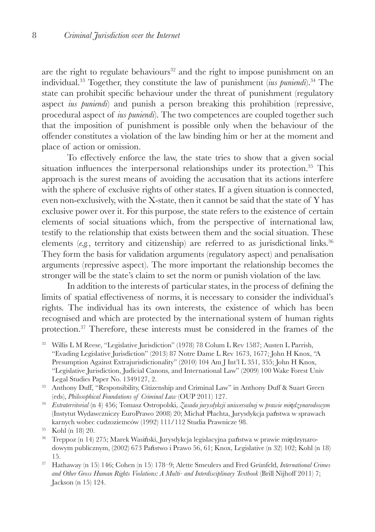are the right to regulate behaviours<sup>32</sup> and the right to impose punishment on an individual.33 Together, they constitute the law of punishment (*ius puniendi*).34 The state can prohibit specific behaviour under the threat of punishment (regulatory aspect *ius puniendi*) and punish a person breaking this prohibition (repressive, procedural aspect of *ius puniendi*). The two competences are coupled together such that the imposition of punishment is possible only when the behaviour of the offender constitutes a violation of the law binding him or her at the moment and place of action or omission.

To effectively enforce the law, the state tries to show that a given social situation influences the interpersonal relationships under its protection.<sup>35</sup> This approach is the surest means of avoiding the accusation that its actions interfere with the sphere of exclusive rights of other states. If a given situation is connected, even non-exclusively, with the X-state, then it cannot be said that the state of Y has exclusive power over it. For this purpose, the state refers to the existence of certain elements of social situations which, from the perspective of international law, testify to the relationship that exists between them and the social situation. These elements  $(e.g.,$  territory and citizenship) are referred to as jurisdictional links.<sup>36</sup> They form the basis for validation arguments (regulatory aspect) and penalisation arguments (repressive aspect). The more important the relationship becomes the stronger will be the state's claim to set the norm or punish violation of the law.

In addition to the interests of particular states, in the process of defining the limits of spatial effectiveness of norms, it is necessary to consider the individual's rights. The individual has its own interests, the existence of which has been recognised and which are protected by the international system of human rights protection.37 Therefore, these interests must be considered in the frames of the

- <sup>32</sup> Willis L M Reese, "Legislative Jurisdiction" (1978) 78 Colum L Rev 1587; Austen L Parrish, "Evading Legislative Jurisdiction" (2013) 87 Notre Dame L Rev 1673, 1677; John H Knox, "A Presumption Against Extrajurisdictionality" (2010) 104 Am J Int'l L 351, 355; John H Knox, "Legislative Jurisdiction, Judicial Canons, and International Law" (2009) 100 Wake Forest Univ Legal Studies Paper No. 1349127, 2.
- <sup>33</sup> Anthony Duff, "Responsibility, Citizenship and Criminal Law" in Anthony Duff & Suart Green (eds), *Philosophical Foundations of Criminal Law* (OUP 2011) 127.
- <sup>34</sup> *Extraterritorial* (n 4) 456; Tomasz Ostropolski, *Zasada jurysdykcji uniwersalnej* w *prawie mi*ę*dzynarodowym* (Instytut Wydawczniczy EuroPrawo 2008) 20; Michał Płachta, Jurysdykcja państwa w sprawach karnych wobec cudzoziemców (1992) 111/112 Studia Prawnicze 98.

- <sup>36</sup> Treppoz (n 14) 275; Marek Wasiński, Jurysdykcja legislacyjna państwa w prawie międzynarodowym publicznym, (2002) 673 Państwo i Prawo 56, 61; Knox, Legislative (n 32) 102; Kohl (n 18) 15.
- <sup>37</sup> Hathaway (n 15) 146; Cohen (n 15) 178–9; Alette Smeulers and Fred Grünfeld, *International Crimes and Other Gross Human Rights Violations: A Multi- and Interdisciplinary Textbook* (Brill Nijhoff 2011) 7; Jackson (n 15) 124.

 $35$  Kohl (n 18) 20.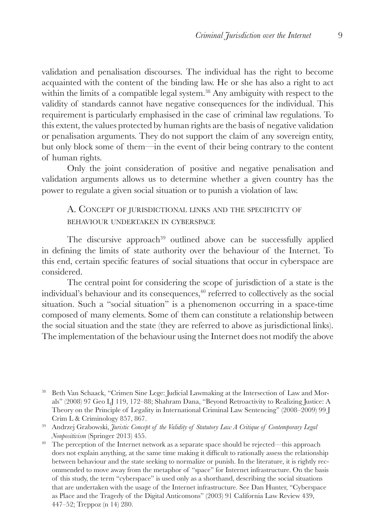validation and penalisation discourses. The individual has the right to become acquainted with the content of the binding law. He or she has also a right to act within the limits of a compatible legal system.<sup>38</sup> Any ambiguity with respect to the validity of standards cannot have negative consequences for the individual. This requirement is particularly emphasised in the case of criminal law regulations. To this extent, the values protected by human rights are the basis of negative validation or penalisation arguments. They do not support the claim of any sovereign entity, but only block some of them—in the event of their being contrary to the content of human rights.

Only the joint consideration of positive and negative penalisation and validation arguments allows us to determine whether a given country has the power to regulate a given social situation or to punish a violation of law.

## A. Concept of jurisdictional links and the specificity of behaviour undertaken in cyberspace

The discursive approach<sup>39</sup> outlined above can be successfully applied in defining the limits of state authority over the behaviour of the Internet. To this end, certain specific features of social situations that occur in cyberspace are considered.

The central point for considering the scope of jurisdiction of a state is the individual's behaviour and its consequences, $40$  referred to collectively as the social situation. Such a "social situation" is a phenomenon occurring in a space-time composed of many elements. Some of them can constitute a relationship between the social situation and the state (they are referred to above as jurisdictional links). The implementation of the behaviour using the Internet does not modify the above

<sup>38</sup> Beth Van Schaack, "Crimen Sine Lege: Judicial Lawmaking at the Intersection of Law and Morals" (2008) 97 Geo LJ 119, 172–88; Shahram Dana, "Beyond Retroactivity to Realizing Justice: A Theory on the Principle of Legality in International Criminal Law Sentencing" (2008–2009) 99 J Crim L & Criminology 857, 867.

<sup>39</sup> Andrzej Grabowski, *Juristic Concept of the Validity of Statutory Law A Critique of Contemporary Legal Nonpositivism* (Springer 2013) 455.

<sup>&</sup>lt;sup>40</sup> The perception of the Internet network as a separate space should be rejected—this approach does not explain anything, at the same time making it difficult to rationally assess the relationship between behaviour and the state seeking to normalize or punish. In the literature, it is rightly recommended to move away from the metaphor of "space" for Internet infrastructure. On the basis of this study, the term "cyberspace" is used only as a shorthand, describing the social situations that are undertaken with the usage of the Internet infrastructure. See Dan Hunter, "Cyberspace as Place and the Tragedy of the Digital Anticomons" (2003) 91 California Law Review 439, 447–52; Treppoz (n 14) 280.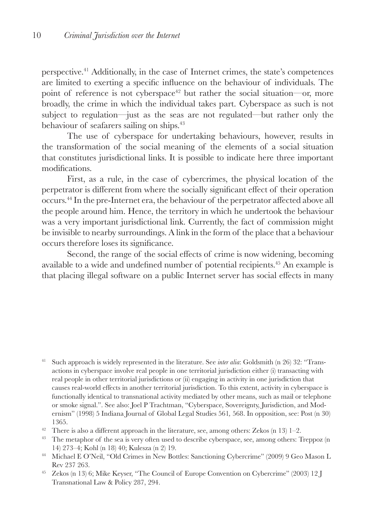perspective.41 Additionally, in the case of Internet crimes, the state's competences are limited to exerting a specific influence on the behaviour of individuals. The point of reference is not cyberspace<sup>42</sup> but rather the social situation—or, more broadly, the crime in which the individual takes part. Cyberspace as such is not subject to regulation—just as the seas are not regulated—but rather only the behaviour of seafarers sailing on ships.43

The use of cyberspace for undertaking behaviours, however, results in the transformation of the social meaning of the elements of a social situation that constitutes jurisdictional links. It is possible to indicate here three important modifications.

First, as a rule, in the case of cybercrimes, the physical location of the perpetrator is different from where the socially significant effect of their operation occurs.44 In the pre-Internet era, the behaviour of the perpetrator affected above all the people around him. Hence, the territory in which he undertook the behaviour was a very important jurisdictional link. Currently, the fact of commission might be invisible to nearby surroundings. A link in the form of the place that a behaviour occurs therefore loses its significance.

Second, the range of the social effects of crime is now widening, becoming available to a wide and undefined number of potential recipients.45 An example is that placing illegal software on a public Internet server has social effects in many

- <sup>41</sup> Such approach is widely represented in the literature. See *inter alia*: Goldsmith (n 26) 32: "Transactions in cyberspace involve real people in one territorial jurisdiction either (i) transacting with real people in other territorial jurisdictions or (ii) engaging in activity in one jurisdiction that causes real-world effects in another territorial jurisdiction. To this extent, activity in cyberspace is functionally identical to transnational activity mediated by other means, such as mail or telephone or smoke signal.". See also: Joel P Trachtman, "Cyberspace, Sovereignty, Jurisdiction, and Modernism" (1998) 5 Indiana Journal of Global Legal Studies 561*,* 568. In opposition, see: Post (n 30) 1365.
- <sup>42</sup> There is also a different approach in the literature, see, among others: Zekos (n 13) 1–2.
- <sup>43</sup> The metaphor of the sea is very often used to describe cyberspace, see, among others: Treppoz (n 14) 273–4; Kohl (n 18) 40; Kulesza (n 2) 19.
- <sup>44</sup> Michael E O'Neil, "Old Crimes in New Bottles: Sanctioning Cybercrime" (2009) 9 Geo Mason L Rev 237 263.
- <sup>45</sup> Zekos (n 13) 6; Mike Keyser, "The Council of Europe Convention on Cybercrime" (2003) 12 J Transnational Law & Policy 287, 294.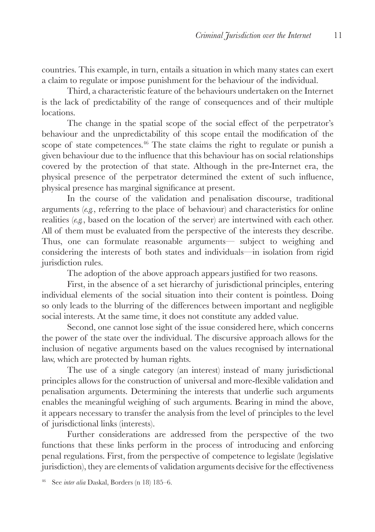countries. This example, in turn, entails a situation in which many states can exert a claim to regulate or impose punishment for the behaviour of the individual.

Third, a characteristic feature of the behaviours undertaken on the Internet is the lack of predictability of the range of consequences and of their multiple locations.

The change in the spatial scope of the social effect of the perpetrator's behaviour and the unpredictability of this scope entail the modification of the scope of state competences.<sup>46</sup> The state claims the right to regulate or punish a given behaviour due to the influence that this behaviour has on social relationships covered by the protection of that state. Although in the pre-Internet era, the physical presence of the perpetrator determined the extent of such influence, physical presence has marginal significance at present.

In the course of the validation and penalisation discourse, traditional arguments (*e.g.*, referring to the place of behaviour) and characteristics for online realities (*e.g.*, based on the location of the server) are intertwined with each other. All of them must be evaluated from the perspective of the interests they describe. Thus, one can formulate reasonable arguments— subject to weighing and considering the interests of both states and individuals—in isolation from rigid jurisdiction rules.

The adoption of the above approach appears justified for two reasons.

First, in the absence of a set hierarchy of jurisdictional principles, entering individual elements of the social situation into their content is pointless. Doing so only leads to the blurring of the differences between important and negligible social interests. At the same time, it does not constitute any added value.

Second, one cannot lose sight of the issue considered here, which concerns the power of the state over the individual. The discursive approach allows for the inclusion of negative arguments based on the values recognised by international law, which are protected by human rights.

The use of a single category (an interest) instead of many jurisdictional principles allows for the construction of universal and more-flexible validation and penalisation arguments. Determining the interests that underlie such arguments enables the meaningful weighing of such arguments. Bearing in mind the above, it appears necessary to transfer the analysis from the level of principles to the level of jurisdictional links (interests).

Further considerations are addressed from the perspective of the two functions that these links perform in the process of introducing and enforcing penal regulations. First, from the perspective of competence to legislate (legislative jurisdiction), they are elements of validation arguments decisive for the effectiveness

<sup>46</sup> See *inter alia* Daskal, Borders (n 18) 185–6.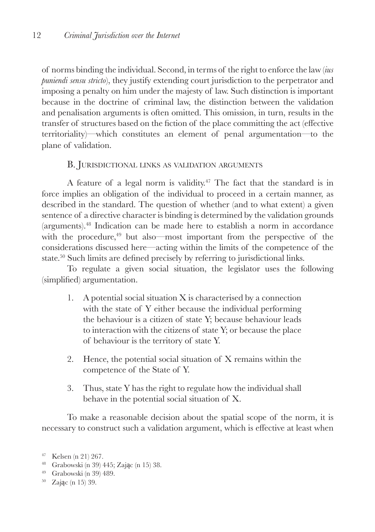of norms binding the individual. Second, in terms of the right to enforce the law (*ius puniendi sensu stricto*), they justify extending court jurisdiction to the perpetrator and imposing a penalty on him under the majesty of law. Such distinction is important because in the doctrine of criminal law, the distinction between the validation and penalisation arguments is often omitted. This omission, in turn, results in the transfer of structures based on the fiction of the place committing the act (effective territoriality)—which constitutes an element of penal argumentation—to the plane of validation.

#### B. Jurisdictional links as validation arguments

A feature of a legal norm is validity.<sup> $47$ </sup> The fact that the standard is in force implies an obligation of the individual to proceed in a certain manner, as described in the standard. The question of whether (and to what extent) a given sentence of a directive character is binding is determined by the validation grounds (arguments).48 Indication can be made here to establish a norm in accordance with the procedure, $49$  but also—most important from the perspective of the considerations discussed here—acting within the limits of the competence of the state.50 Such limits are defined precisely by referring to jurisdictional links.

To regulate a given social situation, the legislator uses the following (simplified) argumentation.

- 1. A potential social situation X is characterised by a connection with the state of Y either because the individual performing the behaviour is a citizen of state Y; because behaviour leads to interaction with the citizens of state Y; or because the place of behaviour is the territory of state Y.
- 2. Hence, the potential social situation of X remains within the competence of the State of Y.
- 3. Thus, state Y has the right to regulate how the individual shall behave in the potential social situation of X.

To make a reasonable decision about the spatial scope of the norm, it is necessary to construct such a validation argument, which is effective at least when

- <sup>48</sup> Grabowski (n 39) 445; Zając (n 15) 38. <sup>49</sup> Grabowski (n 39) 489.
- 
- <sup>50</sup> Zając (n 15) 39.

<sup>47</sup> Kelsen (n 21) 267.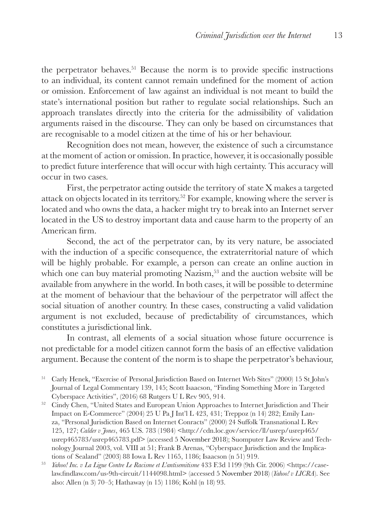the perpetrator behaves.<sup>51</sup> Because the norm is to provide specific instructions to an individual, its content cannot remain undefined for the moment of action or omission. Enforcement of law against an individual is not meant to build the state's international position but rather to regulate social relationships. Such an approach translates directly into the criteria for the admissibility of validation arguments raised in the discourse. They can only be based on circumstances that are recognisable to a model citizen at the time of his or her behaviour.

Recognition does not mean, however, the existence of such a circumstance at the moment of action or omission. In practice, however, it is occasionally possible to predict future interference that will occur with high certainty. This accuracy will occur in two cases.

First, the perpetrator acting outside the territory of state X makes a targeted attack on objects located in its territory.52 For example, knowing where the server is located and who owns the data, a hacker might try to break into an Internet server located in the US to destroy important data and cause harm to the property of an American firm.

Second, the act of the perpetrator can, by its very nature, be associated with the induction of a specific consequence, the extraterritorial nature of which will be highly probable. For example, a person can create an online auction in which one can buy material promoting  $N$ azism,<sup>53</sup> and the auction website will be available from anywhere in the world. In both cases, it will be possible to determine at the moment of behaviour that the behaviour of the perpetrator will affect the social situation of another country. In these cases, constructing a valid validation argument is not excluded, because of predictability of circumstances, which constitutes a jurisdictional link.

In contrast, all elements of a social situation whose future occurrence is not predictable for a model citizen cannot form the basis of an effective validation argument. Because the content of the norm is to shape the perpetrator's behaviour,

- <sup>52</sup> Cindy Chen, "United States and European Union Approaches to Internet Jurisdiction and Their Impact on E-Commerce" (2004) 25 U Pa J Int'l L 423, 431; Treppoz (n 14) 282; Emily Lanza, "Personal Jurisdiction Based on Internet Conracts" (2000) 24 Suffolk Transnational L Rev 125, 127; *Calder v Jones*, 465 U.S. 783 (1984) <http://cdn.loc.gov/service/ll/usrep/usrep465/ usrep465783/usrep465783.pdf> (accessed 5 November 2018); Suomputer Law Review and Technology Journal 2003, vol. VIII at 51; Frank B Arenas, "Cyberspace Jurisdiction and the Implications of Sealand" (2003) 88 Iowa L Rev 1165, 1186; Isaacson (n 51) 919.
- <sup>53</sup> *Yahoo! Inc. v La Ligue Contre Le Racisme et L'antisemitisme* 433 F.3d 1199 (9th Cir. 2006) <https://caselaw.findlaw.com/us-9th-circuit/1144098.html> (accessed 5 November 2018) (*Yahoo! v LICRA*). See also: Allen (n 3) 70–5; Hathaway (n 15) 1186; Kohl (n 18) 93.

<sup>51</sup> Carly Henek, "Exercise of Personal Jurisdiction Based on Internet Web Sites" (2000) 15 St John's Journal of Legal Commentary 139, 145; Scott Isaacson, "Finding Something More in Targeted Cyberspace Activities", (2016) 68 Rutgers U L Rev 905, 914.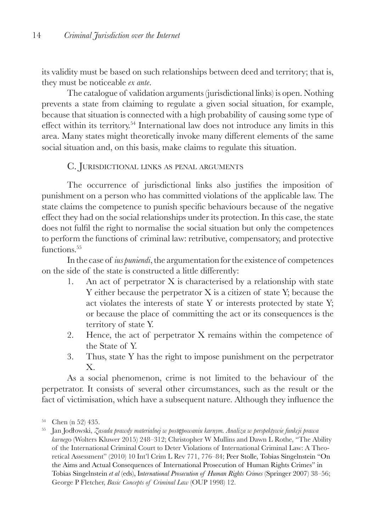its validity must be based on such relationships between deed and territory; that is, they must be noticeable *ex ante*.

The catalogue of validation arguments (jurisdictional links) is open. Nothing prevents a state from claiming to regulate a given social situation, for example, because that situation is connected with a high probability of causing some type of effect within its territory.54 International law does not introduce any limits in this area. Many states might theoretically invoke many different elements of the same social situation and, on this basis, make claims to regulate this situation.

## C. Jurisdictional links as penal arguments

The occurrence of jurisdictional links also justifies the imposition of punishment on a person who has committed violations of the applicable law. The state claims the competence to punish specific behaviours because of the negative effect they had on the social relationships under its protection. In this case, the state does not fulfil the right to normalise the social situation but only the competences to perform the functions of criminal law: retributive, compensatory, and protective functions.<sup>55</sup>

In the case of *ius puniendi*, the argumentation for the existence of competences on the side of the state is constructed a little differently:

- 1. An act of perpetrator X is characterised by a relationship with state Y either because the perpetrator X is a citizen of state Y; because the act violates the interests of state Y or interests protected by state Y; or because the place of committing the act or its consequences is the territory of state Y.
- 2. Hence, the act of perpetrator X remains within the competence of the State of Y.
- 3. Thus, state Y has the right to impose punishment on the perpetrator X.

As a social phenomenon, crime is not limited to the behaviour of the perpetrator. It consists of several other circumstances, such as the result or the fact of victimisation, which have a subsequent nature. Although they influence the

<sup>54</sup> Chen (n 52) 435.

<sup>55</sup> Jan Jodłowski, *Zasada prawdy materialnej w postępowaniu karnym. Analiza w perspektywie funkcji prawa karneg*o (Wolters Kluwer 2015) 248–312; Christopher W Mullins and Dawn L Rothe, "The Ability of the International Criminal Court to Deter Violations of International Criminal Law: A Theoretical Assessment" (2010) 10 Int'l Crim L Rev 771, 776–84; Peer Stolle, Tobias Singelnstein "On the Aims and Actual Consequences of International Prosecution of Human Rights Crimes" in Tobias Singelnstein *et al* (eds), I*nternational Prosecution of Human Rights Crimes* (Springer 2007) 38–56; George P Fletcher, *Basic Concepts of Criminal Law* (OUP 1998) 12.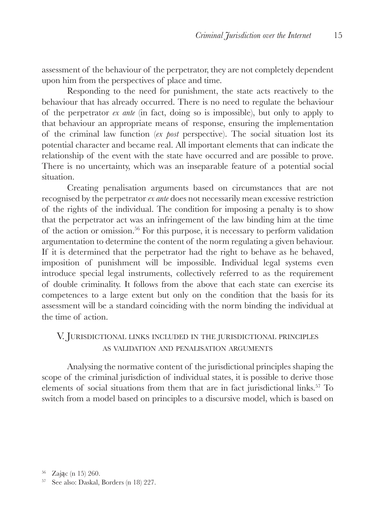assessment of the behaviour of the perpetrator, they are not completely dependent upon him from the perspectives of place and time.

Responding to the need for punishment, the state acts reactively to the behaviour that has already occurred. There is no need to regulate the behaviour of the perpetrator *ex ante* (in fact, doing so is impossible), but only to apply to that behaviour an appropriate means of response, ensuring the implementation of the criminal law function (*ex post* perspective). The social situation lost its potential character and became real. All important elements that can indicate the relationship of the event with the state have occurred and are possible to prove. There is no uncertainty, which was an inseparable feature of a potential social situation.

Creating penalisation arguments based on circumstances that are not recognised by the perpetrator *ex ante* does not necessarily mean excessive restriction of the rights of the individual. The condition for imposing a penalty is to show that the perpetrator act was an infringement of the law binding him at the time of the action or omission.56 For this purpose, it is necessary to perform validation argumentation to determine the content of the norm regulating a given behaviour. If it is determined that the perpetrator had the right to behave as he behaved, imposition of punishment will be impossible. Individual legal systems even introduce special legal instruments, collectively referred to as the requirement of double criminality. It follows from the above that each state can exercise its competences to a large extent but only on the condition that the basis for its assessment will be a standard coinciding with the norm binding the individual at the time of action.

# V. Jurisdictional links included in the jurisdictional principles as validation and penalisation arguments

Analysing the normative content of the jurisdictional principles shaping the scope of the criminal jurisdiction of individual states, it is possible to derive those elements of social situations from them that are in fact jurisdictional links.57 To switch from a model based on principles to a discursive model, which is based on

<sup>56</sup> Zając (n 15) 260. <sup>57</sup> See also: Daskal, Borders (n 18) 227.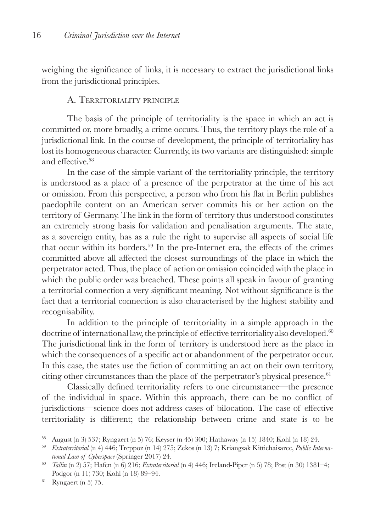weighing the significance of links, it is necessary to extract the jurisdictional links from the jurisdictional principles.

#### A. Territoriality principle

The basis of the principle of territoriality is the space in which an act is committed or, more broadly, a crime occurs. Thus, the territory plays the role of a jurisdictional link. In the course of development, the principle of territoriality has lost its homogeneous character. Currently, its two variants are distinguished: simple and effective<sup>58</sup>

In the case of the simple variant of the territoriality principle, the territory is understood as a place of a presence of the perpetrator at the time of his act or omission. From this perspective, a person who from his flat in Berlin publishes paedophile content on an American server commits his or her action on the territory of Germany. The link in the form of territory thus understood constitutes an extremely strong basis for validation and penalisation arguments. The state, as a sovereign entity, has as a rule the right to supervise all aspects of social life that occur within its borders.59 In the pre-Internet era, the effects of the crimes committed above all affected the closest surroundings of the place in which the perpetrator acted. Thus, the place of action or omission coincided with the place in which the public order was breached. These points all speak in favour of granting a territorial connection a very significant meaning. Not without significance is the fact that a territorial connection is also characterised by the highest stability and recognisability.

In addition to the principle of territoriality in a simple approach in the doctrine of international law, the principle of effective territoriality also developed. $60$ The jurisdictional link in the form of territory is understood here as the place in which the consequences of a specific act or abandonment of the perpetrator occur. In this case, the states use the fiction of committing an act on their own territory, citing other circumstances than the place of the perpetrator's physical presence. $61$ 

Classically defined territoriality refers to one circumstance—the presence of the individual in space. Within this approach, there can be no conflict of jurisdictions—science does not address cases of bilocation. The case of effective territoriality is different; the relationship between crime and state is to be

<sup>58</sup> August (n 3) 537; Ryngaert (n 5) 76; Keyser (n 45) 300; Hathaway (n 15) 1840; Kohl (n 18) 24.

<sup>59</sup> *Extraterritorial* (n 4) 446; Treppoz (n 14) 275; Zekos (n 13) 7; Kriangsak Kittichaisaree, *Public International Law of Cyberspace* (Springer 2017) 24.

<sup>60</sup> *Tallin* (n 2) 57; Hafen (n 6) 216; *Extraterritorial* (n 4) 446; Ireland-Piper (n 5) 78; Post (n 30) 1381–4; Podgor (n 11) 730; Kohl (n 18) 89–94.

<sup>61</sup> Ryngaert (n 5) 75.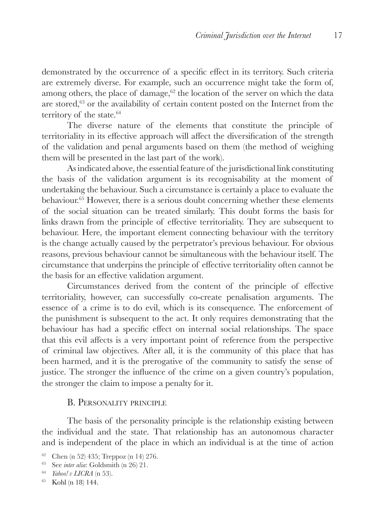demonstrated by the occurrence of a specific effect in its territory. Such criteria are extremely diverse. For example, such an occurrence might take the form of, among others, the place of damage, $62$  the location of the server on which the data are stored,63 or the availability of certain content posted on the Internet from the territory of the state.<sup>64</sup>

The diverse nature of the elements that constitute the principle of territoriality in its effective approach will affect the diversification of the strength of the validation and penal arguments based on them (the method of weighing them will be presented in the last part of the work).

As indicated above, the essential feature of the jurisdictional link constituting the basis of the validation argument is its recognisability at the moment of undertaking the behaviour. Such a circumstance is certainly a place to evaluate the behaviour.65 However, there is a serious doubt concerning whether these elements of the social situation can be treated similarly. This doubt forms the basis for links drawn from the principle of effective territoriality. They are subsequent to behaviour. Here, the important element connecting behaviour with the territory is the change actually caused by the perpetrator's previous behaviour. For obvious reasons, previous behaviour cannot be simultaneous with the behaviour itself. The circumstance that underpins the principle of effective territoriality often cannot be the basis for an effective validation argument.

Circumstances derived from the content of the principle of effective territoriality, however, can successfully co-create penalisation arguments. The essence of a crime is to do evil, which is its consequence. The enforcement of the punishment is subsequent to the act. It only requires demonstrating that the behaviour has had a specific effect on internal social relationships. The space that this evil affects is a very important point of reference from the perspective of criminal law objectives. After all, it is the community of this place that has been harmed, and it is the prerogative of the community to satisfy the sense of justice. The stronger the influence of the crime on a given country's population, the stronger the claim to impose a penalty for it.

#### B. Personality principle

The basis of the personality principle is the relationship existing between the individual and the state. That relationship has an autonomous character and is independent of the place in which an individual is at the time of action

<sup>62</sup> Chen (n 52) 435; Treppoz (n 14) 276.

<sup>63</sup> See *inter alia*: Goldsmith (n 26) 21.

<sup>64</sup> *Yahoo! v LICRA* (n 53).

<sup>65</sup> Kohl (n 18) 144.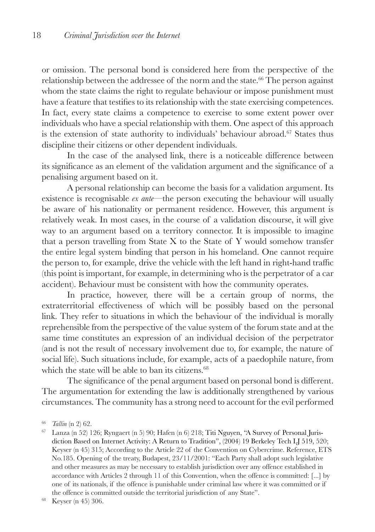or omission. The personal bond is considered here from the perspective of the relationship between the addressee of the norm and the state.<sup>66</sup> The person against whom the state claims the right to regulate behaviour or impose punishment must have a feature that testifies to its relationship with the state exercising competences. In fact, every state claims a competence to exercise to some extent power over individuals who have a special relationship with them. One aspect of this approach is the extension of state authority to individuals' behaviour abroad.<sup>67</sup> States thus discipline their citizens or other dependent individuals.

In the case of the analysed link, there is a noticeable difference between its significance as an element of the validation argument and the significance of a penalising argument based on it.

A personal relationship can become the basis for a validation argument. Its existence is recognisable *ex ante*—the person executing the behaviour will usually be aware of his nationality or permanent residence. However, this argument is relatively weak. In most cases, in the course of a validation discourse, it will give way to an argument based on a territory connector. It is impossible to imagine that a person travelling from State X to the State of Y would somehow transfer the entire legal system binding that person in his homeland. One cannot require the person to, for example, drive the vehicle with the left hand in right-hand traffic (this point is important, for example, in determining who is the perpetrator of a car accident). Behaviour must be consistent with how the community operates.

In practice, however, there will be a certain group of norms, the extraterritorial effectiveness of which will be possibly based on the personal link. They refer to situations in which the behaviour of the individual is morally reprehensible from the perspective of the value system of the forum state and at the same time constitutes an expression of an individual decision of the perpetrator (and is not the result of necessary involvement due to, for example, the nature of social life). Such situations include, for example, acts of a paedophile nature, from which the state will be able to ban its citizens. $68$ 

The significance of the penal argument based on personal bond is different. The argumentation for extending the law is additionally strengthened by various circumstances. The community has a strong need to account for the evil performed

<sup>67</sup> Lanza (n 52) 126; Ryngaert (n 5) 90; Hafen (n 6) 218; Titi Nguyen, "A Survey of Personal Jurisdiction Based on Internet Activity: A Return to Tradition", (2004) 19 Berkeley Tech LJ 519, 520; Keyser (n 45) 315; According to the Article 22 of the Convention on Cybercrime. Reference, ETS No.185. Opening of the treaty, Budapest, 23/11/2001: "Each Party shall adopt such legislative and other measures as may be necessary to establish jurisdiction over any offence established in accordance with Articles 2 through 11 of this Convention, when the offence is committed: [...] by one of its nationals, if the offence is punishable under criminal law where it was committed or if the offence is committed outside the territorial jurisdiction of any State".

<sup>68</sup> Keyser (n 45) 306.

<sup>66</sup> *Tallin* (n 2) 62.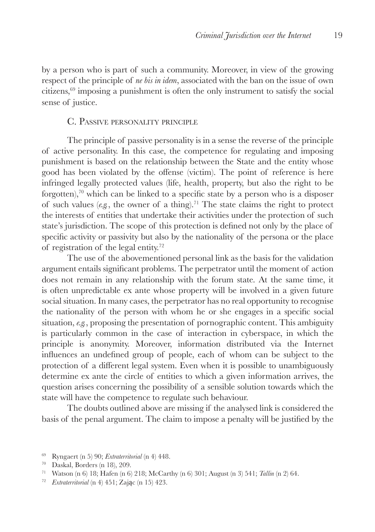by a person who is part of such a community. Moreover, in view of the growing respect of the principle of *ne bis in idem*, associated with the ban on the issue of own citizens,69 imposing a punishment is often the only instrument to satisfy the social sense of justice.

#### C. Passive personality principle

The principle of passive personality is in a sense the reverse of the principle of active personality. In this case, the competence for regulating and imposing punishment is based on the relationship between the State and the entity whose good has been violated by the offense (victim). The point of reference is here infringed legally protected values (life, health, property, but also the right to be forgotten),<sup>70</sup> which can be linked to a specific state by a person who is a disposer of such values (*e.g.*, the owner of a thing).<sup>71</sup> The state claims the right to protect the interests of entities that undertake their activities under the protection of such state's jurisdiction. The scope of this protection is defined not only by the place of specific activity or passivity but also by the nationality of the persona or the place of registration of the legal entity.72

The use of the abovementioned personal link as the basis for the validation argument entails significant problems. The perpetrator until the moment of action does not remain in any relationship with the forum state. At the same time, it is often unpredictable ex ante whose property will be involved in a given future social situation. In many cases, the perpetrator has no real opportunity to recognise the nationality of the person with whom he or she engages in a specific social situation, *e.g.*, proposing the presentation of pornographic content. This ambiguity is particularly common in the case of interaction in cyberspace, in which the principle is anonymity. Moreover, information distributed via the Internet influences an undefined group of people, each of whom can be subject to the protection of a different legal system. Even when it is possible to unambiguously determine ex ante the circle of entities to which a given information arrives, the question arises concerning the possibility of a sensible solution towards which the state will have the competence to regulate such behaviour.

The doubts outlined above are missing if the analysed link is considered the basis of the penal argument. The claim to impose a penalty will be justified by the

<sup>69</sup> Ryngaert (n 5) 90; *Extraterritorial* (n 4) 448.

<sup>70</sup> Daskal, Borders (n 18), 209.

<sup>71</sup> Watson (n 6) 18; Hafen (n 6) 218; McCarthy (n 6) 301; August (n 3) 541; *Tallin* (n 2) 64.

<sup>72</sup> *Extraterritorial* (n 4) 451; Zając (n 15) 423.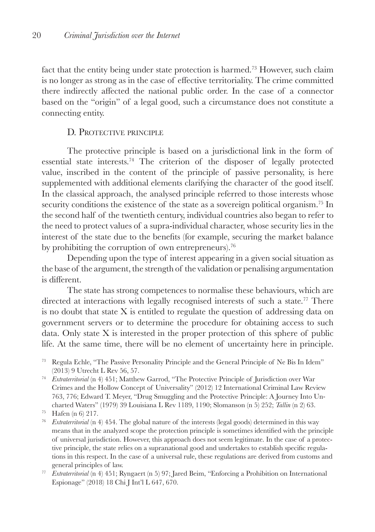fact that the entity being under state protection is harmed.73 However, such claim is no longer as strong as in the case of effective territoriality. The crime committed there indirectly affected the national public order. In the case of a connector based on the "origin" of a legal good, such a circumstance does not constitute a connecting entity.

## D. Protective principle

The protective principle is based on a jurisdictional link in the form of essential state interests.<sup>74</sup> The criterion of the disposer of legally protected value, inscribed in the content of the principle of passive personality, is here supplemented with additional elements clarifying the character of the good itself. In the classical approach, the analysed principle referred to those interests whose security conditions the existence of the state as a sovereign political organism.<sup>75</sup> In the second half of the twentieth century, individual countries also began to refer to the need to protect values of a supra-individual character, whose security lies in the interest of the state due to the benefits (for example, securing the market balance by prohibiting the corruption of own entrepreneurs).<sup>76</sup>

Depending upon the type of interest appearing in a given social situation as the base of the argument, the strength of the validation or penalising argumentation is different.

The state has strong competences to normalise these behaviours, which are directed at interactions with legally recognised interests of such a state.<sup>77</sup> There is no doubt that state X is entitled to regulate the question of addressing data on government servers or to determine the procedure for obtaining access to such data. Only state X is interested in the proper protection of this sphere of public life. At the same time, there will be no element of uncertainty here in principle.

- <sup>73</sup> Regula Echle, "The Passive Personality Principle and the General Principle of Ne Bis In Idem" (2013) 9 Utrecht L Rev 56, 57.
- <sup>74</sup> *Extraterritorial* (n 4) 451; Matthew Garrod, "The Protective Principle of Jurisdiction over War Crimes and the Hollow Concept of Universality" (2012) 12 International Criminal Law Review 763, 776; Edward T. Meyer, "Drug Smuggling and the Protective Principle: A Journey Into Uncharted Waters" (1979) 39 Louisiana L Rev 1189, 1190; Slomanson (n 5) 252; *Tallin* (n 2) 63.

- <sup>76</sup> *Extraterritorial* (n 4) 454. The global nature of the interests (legal goods) determined in this way means that in the analyzed scope the protection principle is sometimes identified with the principle of universal jurisdiction. However, this approach does not seem legitimate. In the case of a protective principle, the state relies on a supranational good and undertakes to establish specific regulations in this respect. In the case of a universal rule, these regulations are derived from customs and general principles of law.
- <sup>77</sup> *Extraterritorial* (n 4) 451; Ryngaert (n 5) 97; Jared Beim, "Enforcing a Prohibition on International Espionage" (2018) 18 Chi J Int'l L 647, 670.

<sup>75</sup> Hafen (n 6) 217.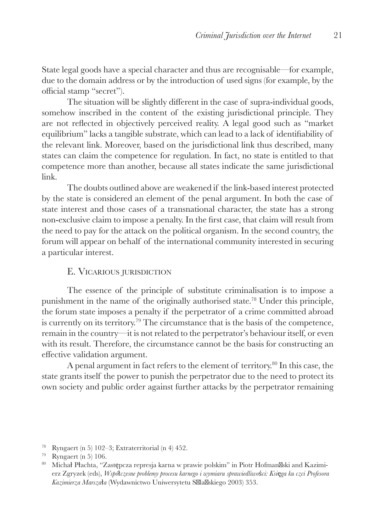State legal goods have a special character and thus are recognisable—for example, due to the domain address or by the introduction of used signs (for example, by the official stamp "secret").

The situation will be slightly different in the case of supra-individual goods, somehow inscribed in the content of the existing jurisdictional principle. They are not reflected in objectively perceived reality. A legal good such as "market equilibrium" lacks a tangible substrate, which can lead to a lack of identifiability of the relevant link. Moreover, based on the jurisdictional link thus described, many states can claim the competence for regulation. In fact, no state is entitled to that competence more than another, because all states indicate the same jurisdictional link.

The doubts outlined above are weakened if the link-based interest protected by the state is considered an element of the penal argument. In both the case of state interest and those cases of a transnational character, the state has a strong non-exclusive claim to impose a penalty. In the first case, that claim will result from the need to pay for the attack on the political organism. In the second country, the forum will appear on behalf of the international community interested in securing a particular interest.

## E. Vicarious jurisdiction

The essence of the principle of substitute criminalisation is to impose a punishment in the name of the originally authorised state.78 Under this principle, the forum state imposes a penalty if the perpetrator of a crime committed abroad is currently on its territory.79 The circumstance that is the basis of the competence, remain in the country—it is not related to the perpetrator's behaviour itself, or even with its result. Therefore, the circumstance cannot be the basis for constructing an effective validation argument.

A penal argument in fact refers to the element of territory.80 In this case, the state grants itself the power to punish the perpetrator due to the need to protect its own society and public order against further attacks by the perpetrator remaining

<sup>78</sup> Ryngaert (n 5) 102–3; Extraterritorial (n 4) 452.

<sup>79</sup> Ryngaert (n 5) 106.

<sup>80</sup> Michał Płachta, "Zastępcza represja karna w prawie polskim" in Piotr Hofman ski and Kazimierz Zgryzek (eds), *Wspó*ł*czesne problemy procesu karnego i wymiaru sprawiedliwo*ś*ci: Ksi*ę*ga ku czci Profesora Kazimierza Marsza*ł*a* (Wydawnictwo Uniwersytetu Śla skiego 2003) 353.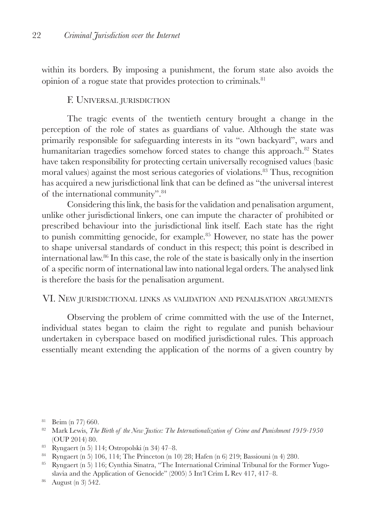within its borders. By imposing a punishment, the forum state also avoids the opinion of a rogue state that provides protection to criminals.81

#### F. Universal jurisdiction

The tragic events of the twentieth century brought a change in the perception of the role of states as guardians of value. Although the state was primarily responsible for safeguarding interests in its "own backyard", wars and humanitarian tragedies somehow forced states to change this approach.<sup>82</sup> States have taken responsibility for protecting certain universally recognised values (basic moral values) against the most serious categories of violations.<sup>83</sup> Thus, recognition has acquired a new jurisdictional link that can be defined as "the universal interest of the international community".84

Considering this link, the basis for the validation and penalisation argument, unlike other jurisdictional linkers, one can impute the character of prohibited or prescribed behaviour into the jurisdictional link itself. Each state has the right to punish committing genocide, for example.85 However, no state has the power to shape universal standards of conduct in this respect; this point is described in international law.86 In this case, the role of the state is basically only in the insertion of a specific norm of international law into national legal orders. The analysed link is therefore the basis for the penalisation argument.

#### VI. New jurisdictional links as validation and penalisation arguments

Observing the problem of crime committed with the use of the Internet, individual states began to claim the right to regulate and punish behaviour undertaken in cyberspace based on modified jurisdictional rules. This approach essentially meant extending the application of the norms of a given country by

- <sup>83</sup> Ryngaert (n 5) 114; Ostropolski (n 34) 47–8.
- <sup>84</sup> Ryngaert (n 5) 106, 114; The Princeton (n 10) 28; Hafen (n 6) 219; Bassiouni (n 4) 280.
- <sup>85</sup> Ryngaert (n 5) 116; Cynthia Sinatra, "The International Criminal Tribunal for the Former Yugoslavia and the Application of Genocide" (2005) 5 Int'l Crim L Rev 417, 417–8.
- <sup>86</sup> August (n 3) 542.

<sup>81</sup> Beim (n 77) 660.

<sup>82</sup> Mark Lewis, *The Birth of the New Justice: The Internationalization of Crime and Punishment 1919-1950* (OUP 2014) 80.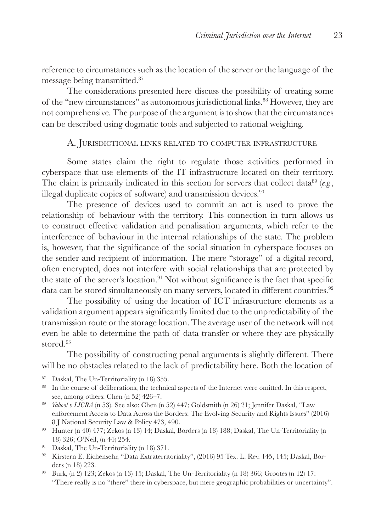reference to circumstances such as the location of the server or the language of the message being transmitted.87

The considerations presented here discuss the possibility of treating some of the "new circumstances" as autonomous jurisdictional links.88 However, they are not comprehensive. The purpose of the argument is to show that the circumstances can be described using dogmatic tools and subjected to rational weighing.

#### A. Jurisdictional links related to computer infrastructure

Some states claim the right to regulate those activities performed in cyberspace that use elements of the IT infrastructure located on their territory. The claim is primarily indicated in this section for servers that collect data<sup>89</sup> ( $e.g.,$ illegal duplicate copies of software) and transmission devices.<sup>90</sup>

The presence of devices used to commit an act is used to prove the relationship of behaviour with the territory. This connection in turn allows us to construct effective validation and penalisation arguments, which refer to the interference of behaviour in the internal relationships of the state. The problem is, however, that the significance of the social situation in cyberspace focuses on the sender and recipient of information. The mere "storage" of a digital record, often encrypted, does not interfere with social relationships that are protected by the state of the server's location.<sup>91</sup> Not without significance is the fact that specific data can be stored simultaneously on many servers, located in different countries.<sup>92</sup>

The possibility of using the location of ICT infrastructure elements as a validation argument appears significantly limited due to the unpredictability of the transmission route or the storage location. The average user of the network will not even be able to determine the path of data transfer or where they are physically stored<sup>93</sup>

The possibility of constructing penal arguments is slightly different. There will be no obstacles related to the lack of predictability here. Both the location of

- <sup>87</sup> Daskal, The Un-Territoriality (n 18) 355.
- <sup>88</sup> In the course of deliberations, the technical aspects of the Internet were omitted. In this respect, see, among others: Chen (n 52) 426–7.
- <sup>89</sup> *Yahoo! v LICRA* (n 53). See also: Chen (n 52) 447; Goldsmith (n 26) 21; Jennifer Daskal, "Law enforcement Access to Data Across the Borders: The Evolving Security and Rights Issues" (2016) 8 J National Security Law & Policy 473, 490.
- <sup>90</sup> Hunter (n 40) 477; Zekos (n 13) 14; Daskal, Borders (n 18) 188; Daskal, The Un-Territoriality (n 18) 326; O'Neil, (n 44) 254.
- <sup>91</sup> Daskal, The Un-Territoriality (n 18) 371.
- 92 Kirstern E. Eichensehr, "Data Extraterritoriality", (2016) 95 Tex. L. Rev. 145, 145; Daskal, Borders (n 18) 223.
- <sup>93</sup> Burk, (n 2) 123; Zekos (n 13) 15; Daskal, The Un-Territoriality (n 18) 366; Grootes (n 12) 17; "There really is no "there" there in cyberspace, but mere geographic probabilities or uncertainty".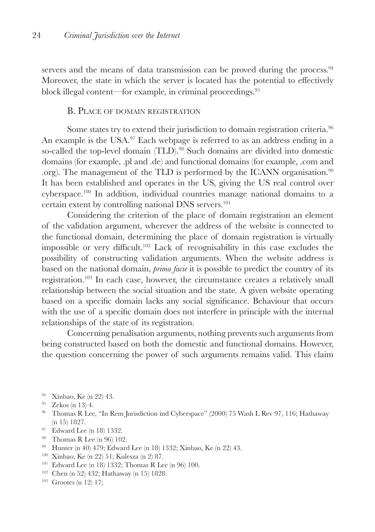servers and the means of data transmission can be proved during the process.<sup>94</sup> Moreover, the state in which the server is located has the potential to effectively block illegal content—for example, in criminal proceedings.<sup>95</sup>

#### B. Place of domain registration

Some states try to extend their jurisdiction to domain registration criteria.<sup>96</sup> An example is the USA.<sup>97</sup> Each webpage is referred to as an address ending in a so-called the top-level domain (TLD).<sup>98</sup> Such domains are divided into domestic domains (for example, .pl and .de) and functional domains (for example, .com and .org). The management of the TLD is performed by the ICANN organisation.<sup>99</sup> It has been established and operates in the US, giving the US real control over cyberspace.100 In addition, individual countries manage national domains to a certain extent by controlling national DNS servers.101

Considering the criterion of the place of domain registration an element of the validation argument, wherever the address of the website is connected to the functional domain, determining the place of domain registration is virtually impossible or very difficult.102 Lack of recognisability in this case excludes the possibility of constructing validation arguments. When the website address is based on the national domain, *prima facie* it is possible to predict the country of its registration.103 In each case, however, the circumstance creates a relatively small relationship between the social situation and the state. A given website operating based on a specific domain lacks any social significance. Behaviour that occurs with the use of a specific domain does not interfere in principle with the internal relationships of the state of its registration.

Concerning penalisation arguments, nothing prevents such arguments from being constructed based on both the domestic and functional domains. However, the question concerning the power of such arguments remains valid. This claim

- <sup>94</sup> Xinbao, Ke (n 22) 43.
- $95$  Zekos (n 13) 4.
- <sup>96</sup> Thomas R Lee, "In Rem Jurisdiction ind Cyberspace" (2000) 75 Wash L Rev 97, 116; Hathaway (n 15) 1827.
- <sup>97</sup> Edward Lee (n 18) 1332.
- <sup>98</sup> Thomas R Lee (n 96) 102.
- <sup>99</sup> Hunter (n 40) 479; Edward Lee (n 18) 1332; Xinbao, Ke (n 22) 43.
- <sup>100</sup> Xinbao, Ke (n 22) 51; Kulesza (n 2) 87.
- <sup>101</sup> Edward Lee (n 18) 1332; Thomas R Lee (n 96) 100.
- <sup>102</sup> Chen (n 52) 432; Hathaway (n 15) 1828.
- $103$  Grootes (n 12) 17;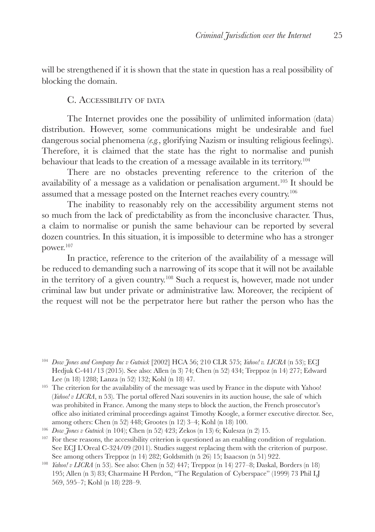will be strengthened if it is shown that the state in question has a real possibility of blocking the domain.

#### C. Accessibility of data

The Internet provides one the possibility of unlimited information (data) distribution. However, some communications might be undesirable and fuel dangerous social phenomena (*e.g.*, glorifying Nazism or insulting religious feelings). Therefore, it is claimed that the state has the right to normalise and punish behaviour that leads to the creation of a message available in its territory.<sup>104</sup>

There are no obstacles preventing reference to the criterion of the availability of a message as a validation or penalisation argument.105 It should be assumed that a message posted on the Internet reaches every country.106

The inability to reasonably rely on the accessibility argument stems not so much from the lack of predictability as from the inconclusive character. Thus, a claim to normalise or punish the same behaviour can be reported by several dozen countries. In this situation, it is impossible to determine who has a stronger power.107

In practice, reference to the criterion of the availability of a message will be reduced to demanding such a narrowing of its scope that it will not be available in the territory of a given country.108 Such a request is, however, made not under criminal law but under private or administrative law. Moreover, the recipient of the request will not be the perpetrator here but rather the person who has the

<sup>104</sup> *Dow Jones and Company Inc v Gutnick* [2002] HCA 56; 210 CLR 575; *Yahoo! v. LICRA* (n 53); ECJ Hedjuk C-441/13 (2015). See also: Allen (n 3) 74; Chen (n 52) 434; Treppoz (n 14) 277; Edward Lee (n 18) 1288; Lanza (n 52) 132; Kohl (n 18) 47.

<sup>105</sup> The criterion for the availability of the message was used by France in the dispute with Yahoo! (*Yahoo! v LICRA*, n 53). The portal offered Nazi souvenirs in its auction house, the sale of which was prohibited in France. Among the many steps to block the auction, the French prosecutor's office also initiated criminal proceedings against Timothy Koogle, a former executive director. See, among others: Chen (n 52) 448; Grootes (n 12) 3–4; Kohl (n 18) 100.

<sup>107</sup> For these reasons, the accessibility criterion is questioned as an enabling condition of regulation. See ECJ L'Oreal C-324/09 (2011). Studies suggest replacing them with the criterion of purpose. See among others Treppoz (n 14) 282; Goldsmith (n 26) 15; Isaacson (n 51) 922.

<sup>106</sup> *Dow Jones v Gutnick* (n 104); Chen (n 52) 423; Zekos (n 13) 6; Kulesza (n 2) 15.

<sup>108</sup> *Yahoo! v LICRA* (n 53). See also: Chen (n 52) 447; Treppoz (n 14) 277–8; Daskal, Borders (n 18) 195; Allen (n 3) 83; Charmaine H Perdon, "The Regulation of Cyberspace" (1999) 73 Phil LJ 569, 595–7; Kohl (n 18) 228–9.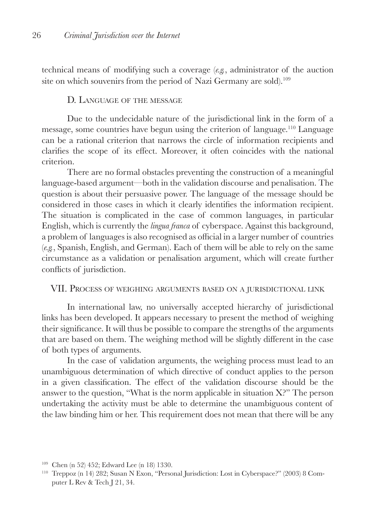technical means of modifying such a coverage (*e.g.*, administrator of the auction site on which souvenirs from the period of Nazi Germany are sold).<sup>109</sup>

#### D. Language of the message

Due to the undecidable nature of the jurisdictional link in the form of a message, some countries have begun using the criterion of language.110 Language can be a rational criterion that narrows the circle of information recipients and clarifies the scope of its effect. Moreover, it often coincides with the national criterion.

There are no formal obstacles preventing the construction of a meaningful language-based argument—both in the validation discourse and penalisation. The question is about their persuasive power. The language of the message should be considered in those cases in which it clearly identifies the information recipient. The situation is complicated in the case of common languages, in particular English, which is currently the *lingua franca* of cyberspace. Against this background, a problem of languages is also recognised as official in a larger number of countries (*e.g.*, Spanish, English, and German). Each of them will be able to rely on the same circumstance as a validation or penalisation argument, which will create further conflicts of jurisdiction.

#### VII. Process of weighing arguments based on <sup>a</sup> jurisdictional link

In international law, no universally accepted hierarchy of jurisdictional links has been developed. It appears necessary to present the method of weighing their significance. It will thus be possible to compare the strengths of the arguments that are based on them. The weighing method will be slightly different in the case of both types of arguments.

In the case of validation arguments, the weighing process must lead to an unambiguous determination of which directive of conduct applies to the person in a given classification. The effect of the validation discourse should be the answer to the question, "What is the norm applicable in situation X?" The person undertaking the activity must be able to determine the unambiguous content of the law binding him or her. This requirement does not mean that there will be any

<sup>109</sup> Chen (n 52) 452; Edward Lee (n 18) 1330.

<sup>110</sup> Treppoz (n 14) 282; Susan N Exon, "Personal Jurisdiction: Lost in Cyberspace?" (2003) 8 Computer L Rev & Tech J 21, 34.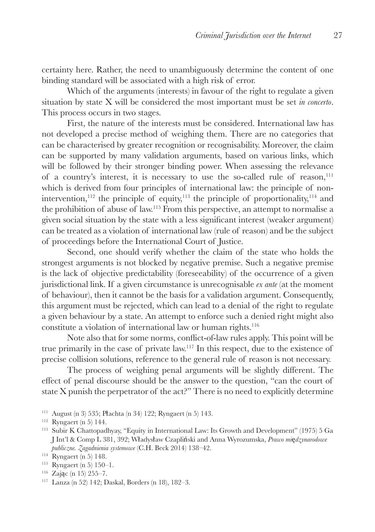certainty here. Rather, the need to unambiguously determine the content of one binding standard will be associated with a high risk of error.

Which of the arguments (interests) in favour of the right to regulate a given situation by state X will be considered the most important must be set *in concerto*. This process occurs in two stages.

First, the nature of the interests must be considered. International law has not developed a precise method of weighing them. There are no categories that can be characterised by greater recognition or recognisability. Moreover, the claim can be supported by many validation arguments, based on various links, which will be followed by their stronger binding power. When assessing the relevance of a country's interest, it is necessary to use the so-called rule of reason,<sup>111</sup> which is derived from four principles of international law: the principle of nonintervention,<sup>112</sup> the principle of equity,<sup>113</sup> the principle of proportionality,<sup>114</sup> and the prohibition of abuse of law.115 From this perspective, an attempt to normalise a given social situation by the state with a less significant interest (weaker argument) can be treated as a violation of international law (rule of reason) and be the subject of proceedings before the International Court of Justice.

Second, one should verify whether the claim of the state who holds the strongest arguments is not blocked by negative premise. Such a negative premise is the lack of objective predictability (foreseeability) of the occurrence of a given jurisdictional link. If a given circumstance is unrecognisable *ex ante* (at the moment of behaviour), then it cannot be the basis for a validation argument. Consequently, this argument must be rejected, which can lead to a denial of the right to regulate a given behaviour by a state. An attempt to enforce such a denied right might also constitute a violation of international law or human rights.<sup>116</sup>

Note also that for some norms, conflict-of-law rules apply. This point will be true primarily in the case of private law.117 In this respect, due to the existence of precise collision solutions, reference to the general rule of reason is not necessary.

The process of weighing penal arguments will be slightly different. The effect of penal discourse should be the answer to the question, "can the court of state X punish the perpetrator of the act?" There is no need to explicitly determine

<sup>111</sup> August (n 3) 535; Płachta (n 34) 122; Ryngaert (n 5) 143. <sup>112</sup> Ryngaert (n 5) 144.

<sup>113</sup> Subir K Chattopadhyay, "Equity in International Law: Its Growth and Development" (1975) 5 Ga J Int'l & Comp L 381, 392; Władysław Czapliński and Anna Wyrozumska, *Prawo mi*ę*dzynarodowe publiczne. Zagadnienia systemowe* (C.H. Beck 2014) 138–42. 114 Ryngaert (n 5) 148.

<sup>115</sup> Ryngaert (n 5) 150–1.

<sup>116</sup> Zając (n 15) 255–7. <sup>117</sup> Lanza (n 52) 142; Daskal, Borders (n 18), 182–3.